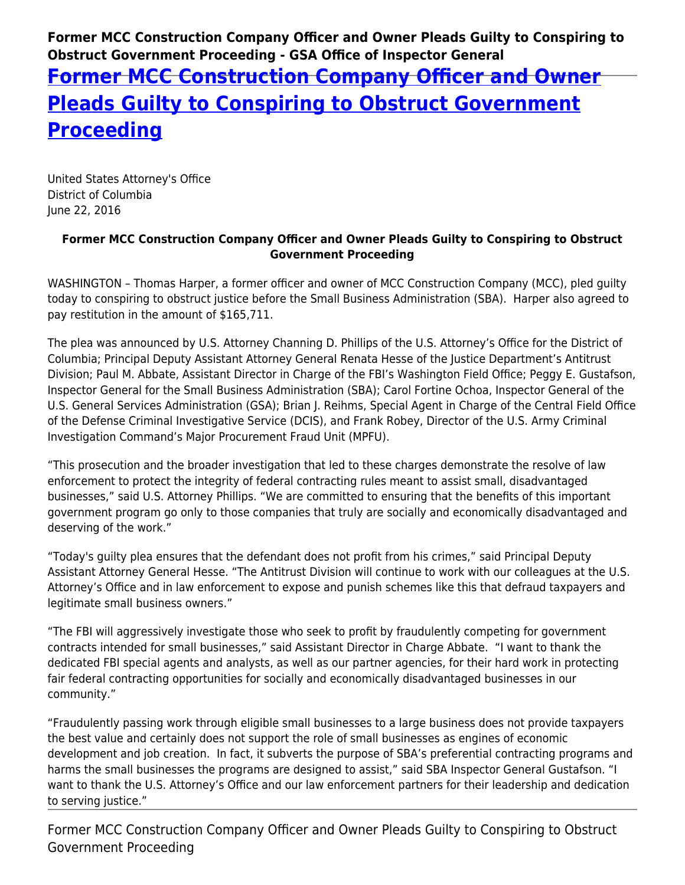**Former MCC Construction Company Officer and Owner Pleads Guilty to Conspiring to Obstruct Government Proceeding - GSA Office of Inspector General**

## **[Former MCC Construction Company Officer and Owner](https://www.gsaig.gov/news/former-mcc-construction-company-officer-and-owner-pleads-guilty-conspiring-obstruct-government) [Pleads Guilty to Conspiring to Obstruct Government](https://www.gsaig.gov/news/former-mcc-construction-company-officer-and-owner-pleads-guilty-conspiring-obstruct-government) [Proceeding](https://www.gsaig.gov/news/former-mcc-construction-company-officer-and-owner-pleads-guilty-conspiring-obstruct-government)**

United States Attorney's Office District of Columbia June 22, 2016

## **Former MCC Construction Company Officer and Owner Pleads Guilty to Conspiring to Obstruct Government Proceeding**

WASHINGTON – Thomas Harper, a former officer and owner of MCC Construction Company (MCC), pled guilty today to conspiring to obstruct justice before the Small Business Administration (SBA). Harper also agreed to pay restitution in the amount of \$165,711.

The plea was announced by U.S. Attorney Channing D. Phillips of the U.S. Attorney's Office for the District of Columbia; Principal Deputy Assistant Attorney General Renata Hesse of the Justice Department's Antitrust Division; Paul M. Abbate, Assistant Director in Charge of the FBI's Washington Field Office; Peggy E. Gustafson, Inspector General for the Small Business Administration (SBA); Carol Fortine Ochoa, Inspector General of the U.S. General Services Administration (GSA); Brian J. Reihms, Special Agent in Charge of the Central Field Office of the Defense Criminal Investigative Service (DCIS), and Frank Robey, Director of the U.S. Army Criminal Investigation Command's Major Procurement Fraud Unit (MPFU).

"This prosecution and the broader investigation that led to these charges demonstrate the resolve of law enforcement to protect the integrity of federal contracting rules meant to assist small, disadvantaged businesses," said U.S. Attorney Phillips. "We are committed to ensuring that the benefits of this important government program go only to those companies that truly are socially and economically disadvantaged and deserving of the work."

"Today's guilty plea ensures that the defendant does not profit from his crimes," said Principal Deputy Assistant Attorney General Hesse. "The Antitrust Division will continue to work with our colleagues at the U.S. Attorney's Office and in law enforcement to expose and punish schemes like this that defraud taxpayers and legitimate small business owners."

"The FBI will aggressively investigate those who seek to profit by fraudulently competing for government contracts intended for small businesses," said Assistant Director in Charge Abbate. "I want to thank the dedicated FBI special agents and analysts, as well as our partner agencies, for their hard work in protecting fair federal contracting opportunities for socially and economically disadvantaged businesses in our community."

"Fraudulently passing work through eligible small businesses to a large business does not provide taxpayers the best value and certainly does not support the role of small businesses as engines of economic development and job creation. In fact, it subverts the purpose of SBA's preferential contracting programs and harms the small businesses the programs are designed to assist," said SBA Inspector General Gustafson. "I want to thank the U.S. Attorney's Office and our law enforcement partners for their leadership and dedication to serving justice."

Former MCC Construction Company Officer and Owner Pleads Guilty to Conspiring to Obstruct Government Proceeding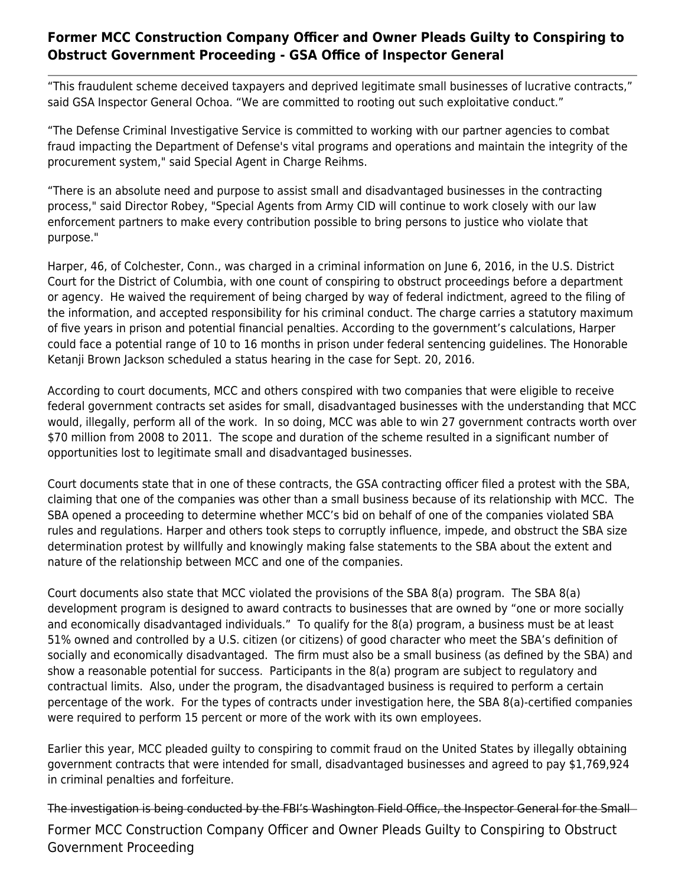## **Former MCC Construction Company Officer and Owner Pleads Guilty to Conspiring to Obstruct Government Proceeding - GSA Office of Inspector General**

"This fraudulent scheme deceived taxpayers and deprived legitimate small businesses of lucrative contracts," said GSA Inspector General Ochoa. "We are committed to rooting out such exploitative conduct."

"The Defense Criminal Investigative Service is committed to working with our partner agencies to combat fraud impacting the Department of Defense's vital programs and operations and maintain the integrity of the procurement system," said Special Agent in Charge Reihms.

"There is an absolute need and purpose to assist small and disadvantaged businesses in the contracting process," said Director Robey, "Special Agents from Army CID will continue to work closely with our law enforcement partners to make every contribution possible to bring persons to justice who violate that purpose."

Harper, 46, of Colchester, Conn., was charged in a criminal information on June 6, 2016, in the U.S. District Court for the District of Columbia, with one count of conspiring to obstruct proceedings before a department or agency. He waived the requirement of being charged by way of federal indictment, agreed to the filing of the information, and accepted responsibility for his criminal conduct. The charge carries a statutory maximum of five years in prison and potential financial penalties. According to the government's calculations, Harper could face a potential range of 10 to 16 months in prison under federal sentencing guidelines. The Honorable Ketanji Brown Jackson scheduled a status hearing in the case for Sept. 20, 2016.

According to court documents, MCC and others conspired with two companies that were eligible to receive federal government contracts set asides for small, disadvantaged businesses with the understanding that MCC would, illegally, perform all of the work. In so doing, MCC was able to win 27 government contracts worth over \$70 million from 2008 to 2011. The scope and duration of the scheme resulted in a significant number of opportunities lost to legitimate small and disadvantaged businesses.

Court documents state that in one of these contracts, the GSA contracting officer filed a protest with the SBA, claiming that one of the companies was other than a small business because of its relationship with MCC. The SBA opened a proceeding to determine whether MCC's bid on behalf of one of the companies violated SBA rules and regulations. Harper and others took steps to corruptly influence, impede, and obstruct the SBA size determination protest by willfully and knowingly making false statements to the SBA about the extent and nature of the relationship between MCC and one of the companies.

Court documents also state that MCC violated the provisions of the SBA 8(a) program. The SBA 8(a) development program is designed to award contracts to businesses that are owned by "one or more socially and economically disadvantaged individuals." To qualify for the 8(a) program, a business must be at least 51% owned and controlled by a U.S. citizen (or citizens) of good character who meet the SBA's definition of socially and economically disadvantaged. The firm must also be a small business (as defined by the SBA) and show a reasonable potential for success. Participants in the 8(a) program are subject to regulatory and contractual limits. Also, under the program, the disadvantaged business is required to perform a certain percentage of the work. For the types of contracts under investigation here, the SBA 8(a)-certified companies were required to perform 15 percent or more of the work with its own employees.

Earlier this year, MCC pleaded guilty to conspiring to commit fraud on the United States by illegally obtaining government contracts that were intended for small, disadvantaged businesses and agreed to pay \$1,769,924 in criminal penalties and forfeiture.

Former MCC Construction Company Officer and Owner Pleads Guilty to Conspiring to Obstruct Government Proceeding The investigation is being conducted by the FBI's Washington Field Office, the Inspector General for the Small